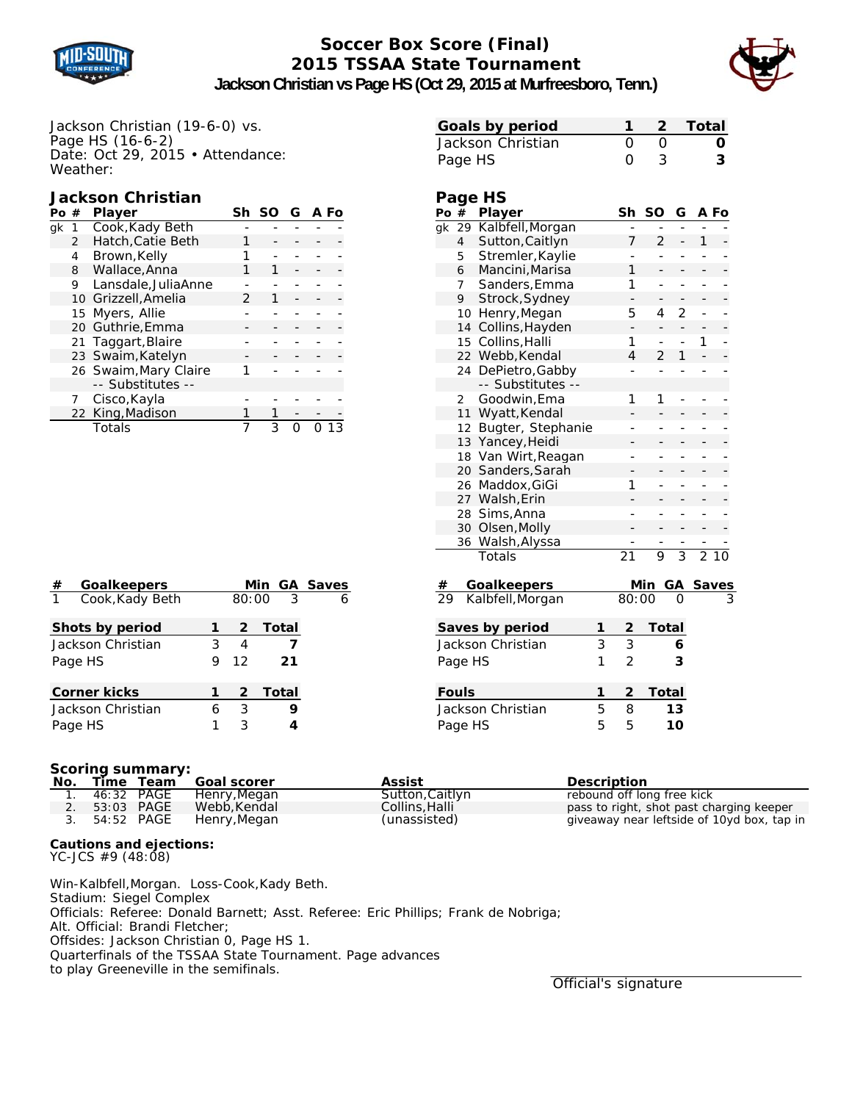

# **Soccer Box Score (Final) 2015 TSSAA State Tournament**



**Jackson Christian vs Page HS (Oct 29, 2015 at Murfreesboro, Tenn.)**

Jackson Christian (19-6-0) vs. Page HS (16-6-2) Date: Oct 29, 2015 • Attendance: Weather:

# **Jackson Christian**

| Po# |               | <b>Player</b>         |   | Sh SO G A Fo |  |  |
|-----|---------------|-----------------------|---|--------------|--|--|
| αk  | 1             | Cook, Kady Beth       |   |              |  |  |
|     | $\mathcal{P}$ | Hatch.Catie Beth      |   |              |  |  |
|     | 4             | Brown, Kelly          |   |              |  |  |
|     | 8             | Wallace, Anna         |   | 1            |  |  |
|     | 9             | Lansdale, JuliaAnne   |   |              |  |  |
|     |               | 10 Grizzell, Amelia   | 2 |              |  |  |
|     |               | 15 Myers, Allie       |   |              |  |  |
|     |               | 20 Guthrie, Emma      |   |              |  |  |
|     |               | 21 Taggart, Blaire    |   |              |  |  |
|     |               | 23 Swaim, Katelyn     |   |              |  |  |
|     |               | 26 Swaim, Mary Claire |   |              |  |  |
|     |               | -- Substitutes --     |   |              |  |  |
|     |               | Cisco, Kayla          |   |              |  |  |
|     |               | 22 King, Madison      |   |              |  |  |
|     |               | Totals                |   | ς            |  |  |

| Goals by period   |                  | 1 2 Total |
|-------------------|------------------|-----------|
| Jackson Christian | $\left( \right)$ | 0         |
| Page HS           | $\Omega$         | 3         |

# **Page HS**

| Po #                   |                | <b>Player</b>      |   | Sh              | <b>SO</b>      | G              |    | A Fo           |
|------------------------|----------------|--------------------|---|-----------------|----------------|----------------|----|----------------|
| $g_{\mathsf{k}}$       | 29             | Kalbfell, Morgan   |   |                 |                |                |    |                |
|                        | $\overline{4}$ | Sutton, Caitlyn    |   | 7               | 2              | -              | 1  |                |
|                        | 5              | Stremler, Kaylie   |   |                 | ÷,             | -              | ÷, |                |
|                        | 6              | Mancini, Marisa    |   | 1               |                |                |    |                |
|                        | 7              | Sanders, Emma      |   | 1               |                |                | -  |                |
|                        | 9              | Strock, Sydney     |   |                 |                |                |    |                |
|                        | 10             | Henry, Megan       |   | 5               | 4              | $\overline{2}$ | -  |                |
|                        | 14             | Collins, Hayden    |   | -               |                |                |    |                |
|                        | 15             | Collins, Halli     |   | 1               | ÷,             | $\overline{a}$ | 1  | $\overline{a}$ |
|                        | 22             | Webb, Kendal       |   | 4               | $\overline{2}$ | 1              |    |                |
|                        | 24             | DePietro, Gabby    |   |                 |                | ÷              | -  |                |
|                        |                | -- Substitutes --  |   |                 |                |                |    |                |
|                        | 2              | Goodwin, Ema       |   | 1               | 1              | $\overline{a}$ | -  |                |
|                        | 11             | Wyatt, Kendal      |   |                 |                |                |    |                |
|                        | 12             | Bugter, Stephanie  |   |                 |                |                | -  |                |
|                        | 13             | Yancey, Heidi      |   |                 |                |                |    |                |
|                        | 18             | Van Wirt, Reagan   |   |                 |                |                |    |                |
|                        |                | 20 Sanders, Sarah  |   |                 |                |                |    |                |
|                        | 26             | Maddox, GiGi       |   | 1               | L              |                | -  |                |
|                        |                | 27 Walsh, Erin     |   |                 |                |                |    |                |
|                        | 28             | Sims, Anna         |   |                 |                | -              | -  |                |
|                        | 30             | Olsen, Molly       |   |                 |                | -              | -  |                |
|                        | 36             | Walsh, Alyssa      |   |                 |                |                |    |                |
|                        |                | Totals             |   | $\overline{21}$ | 9              | $\overline{3}$ |    | 210            |
| #                      |                | <b>Goalkeepers</b> |   |                 | Min            |                |    | GA Saves       |
| $\overline{29}$        |                | Kalbfell, Morgan   |   | 80:00           |                | O              |    |                |
|                        |                | Saves by period    | 1 | 2               | <b>Total</b>   |                |    |                |
| 3<br>Jackson Christian |                |                    |   |                 |                | 6              |    |                |
| 1<br>Page HS           |                |                    |   |                 |                | 3              |    |                |
|                        |                |                    |   | $\overline{2}$  |                |                |    |                |
|                        | <b>Fouls</b>   |                    | 1 | 2               | Total          |                |    |                |
|                        |                | Jackson Christian  | 5 | 8               |                | 13             |    |                |

Page HS 5 5 **10**

| #            | <b>Goalkeepers</b>  |   |       |         | Min GA Saves |
|--------------|---------------------|---|-------|---------|--------------|
| $\mathbf{1}$ | Cook, Kady Beth     |   | 80:00 | -3      |              |
|              | Shots by period     |   | 2     | Total   |              |
|              | Jackson Christian   | 3 | 4     |         |              |
| Page HS      |                     | 9 | 12    | 21      |              |
|              | <b>Corner kicks</b> |   |       | 2 Total |              |
|              | Jackson Christian   | 6 | 3     |         |              |
| Page HS      |                     | 3 |       |         |              |

#### **Scoring summary:**

|  |               | No. Time Team Goal scorer  | Assist          | <b>Description</b>                         |
|--|---------------|----------------------------|-----------------|--------------------------------------------|
|  |               | 1. 46:32 PAGE Henry.Megan  | Sutton, Caitlyn | rebound off long free kick                 |
|  | 2. 53:03 PAGE | Webb.Kendal                | Collins, Halli  | pass to right, shot past charging keeper   |
|  |               | 3. 54:52 PAGE Henry, Megan | (unassisted)    | giveaway near leftside of 10yd box, tap in |

## **Cautions and ejections:**

YC-JCS #9 (48:08)

Win-Kalbfell,Morgan. Loss-Cook,Kady Beth. Stadium: Siegel Complex Officials: Referee: Donald Barnett; Asst. Referee: Eric Phillips; Frank de Nobriga; Alt. Official: Brandi Fletcher; Offsides: Jackson Christian 0, Page HS 1. Quarterfinals of the TSSAA State Tournament. Page advances to play Greeneville in the semifinals.

Official's signature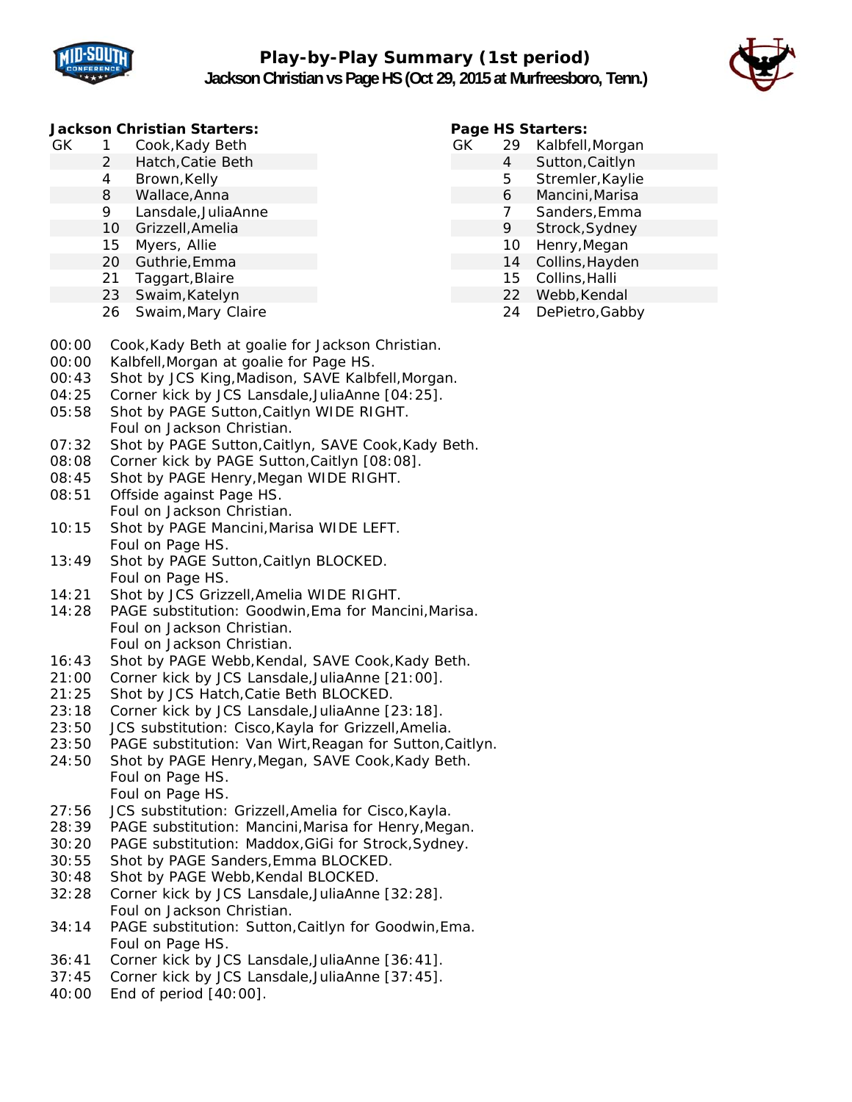



## **Jackson Christian Starters:**

- GK 1 Cook,Kady Beth
	- 2 Hatch,Catie Beth
		- 4 Brown,Kelly
		- 8 Wallace,Anna
		- 9 Lansdale,JuliaAnne
		- 10 Grizzell,Amelia
		- 15 Myers, Allie
		- 20 Guthrie,Emma
		- 21 Taggart,Blaire
		- 23 Swaim,Katelyn
		- 26 Swaim,Mary Claire

## **Page HS Starters:**

- GK 29 Kalbfell,Morgan
	- 4 Sutton,Caitlyn
	- 5 Stremler,Kaylie
	- 6 Mancini,Marisa
	- 7 Sanders,Emma
	- 9 Strock,Sydney
	- 10 Henry,Megan
	- 14 Collins,Hayden
	- 15 Collins,Halli
		- 22 Webb,Kendal 24 DePietro,Gabby
- 00:00 Cook,Kady Beth at goalie for Jackson Christian.
- 00:00 Kalbfell,Morgan at goalie for Page HS.
- 00:43 Shot by JCS King,Madison, SAVE Kalbfell,Morgan.
- 04:25 Corner kick by JCS Lansdale,JuliaAnne [04:25].
- 05:58 Shot by PAGE Sutton,Caitlyn WIDE RIGHT. Foul on Jackson Christian.
- 07:32 Shot by PAGE Sutton,Caitlyn, SAVE Cook,Kady Beth.
- 08:08 Corner kick by PAGE Sutton,Caitlyn [08:08].
- 08:45 Shot by PAGE Henry,Megan WIDE RIGHT.
- 08:51 Offside against Page HS. Foul on Jackson Christian.
- 10:15 Shot by PAGE Mancini,Marisa WIDE LEFT. Foul on Page HS.
- 13:49 Shot by PAGE Sutton,Caitlyn BLOCKED. Foul on Page HS.
- 14:21 Shot by JCS Grizzell,Amelia WIDE RIGHT.
- 14:28 PAGE substitution: Goodwin,Ema for Mancini,Marisa. Foul on Jackson Christian. Foul on Jackson Christian.
- 16:43 Shot by PAGE Webb,Kendal, SAVE Cook,Kady Beth.
- 21:00 Corner kick by JCS Lansdale,JuliaAnne [21:00].
- 21:25 Shot by JCS Hatch,Catie Beth BLOCKED.
- 23:18 Corner kick by JCS Lansdale,JuliaAnne [23:18].
- 23:50 JCS substitution: Cisco,Kayla for Grizzell,Amelia.
- 23:50 PAGE substitution: Van Wirt,Reagan for Sutton,Caitlyn.
- 24:50 Shot by PAGE Henry,Megan, SAVE Cook,Kady Beth. Foul on Page HS. Foul on Page HS.
- 27:56 JCS substitution: Grizzell,Amelia for Cisco,Kayla.
- 28:39 PAGE substitution: Mancini,Marisa for Henry,Megan.
- 30:20 PAGE substitution: Maddox,GiGi for Strock,Sydney.
- 30:55 Shot by PAGE Sanders,Emma BLOCKED.
- 30:48 Shot by PAGE Webb,Kendal BLOCKED.
- 32:28 Corner kick by JCS Lansdale,JuliaAnne [32:28]. Foul on Jackson Christian.
- 34:14 PAGE substitution: Sutton,Caitlyn for Goodwin,Ema. Foul on Page HS.
- 36:41 Corner kick by JCS Lansdale,JuliaAnne [36:41].
- 37:45 Corner kick by JCS Lansdale,JuliaAnne [37:45].
- 40:00 End of period [40:00].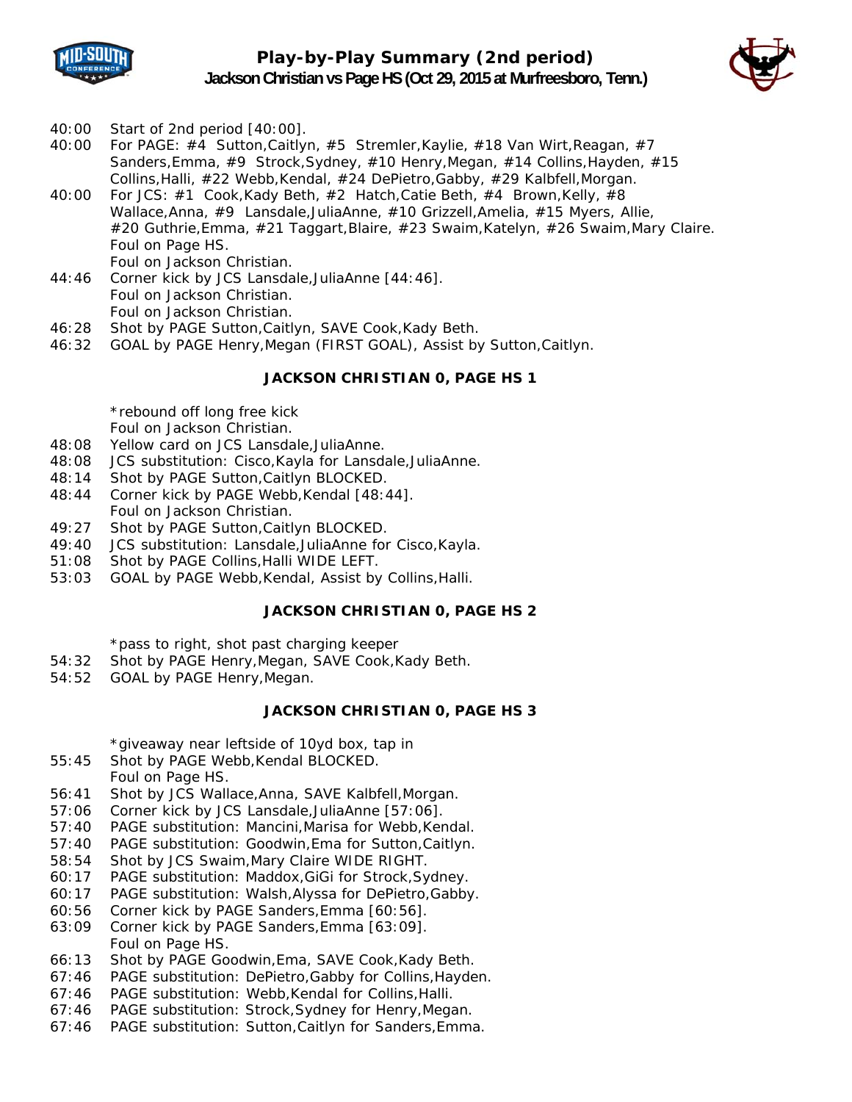



- 40:00 Start of 2nd period [40:00].
- 40:00 For PAGE: #4 Sutton, Caitlyn, #5 Stremler, Kaylie, #18 Van Wirt, Reagan, #7 Sanders,Emma, #9 Strock,Sydney, #10 Henry,Megan, #14 Collins,Hayden, #15 Collins,Halli, #22 Webb,Kendal, #24 DePietro,Gabby, #29 Kalbfell,Morgan.
- 40:00 For JCS: #1 Cook,Kady Beth, #2 Hatch,Catie Beth, #4 Brown,Kelly, #8 Wallace,Anna, #9 Lansdale,JuliaAnne, #10 Grizzell,Amelia, #15 Myers, Allie, #20 Guthrie,Emma, #21 Taggart,Blaire, #23 Swaim,Katelyn, #26 Swaim,Mary Claire. Foul on Page HS. Foul on Jackson Christian.
- 44:46 Corner kick by JCS Lansdale,JuliaAnne [44:46]. Foul on Jackson Christian. Foul on Jackson Christian.
- 46:28 Shot by PAGE Sutton,Caitlyn, SAVE Cook,Kady Beth.
- 46:32 GOAL by PAGE Henry,Megan (FIRST GOAL), Assist by Sutton,Caitlyn.

## **JACKSON CHRISTIAN 0, PAGE HS 1**

\*rebound off long free kick

Foul on Jackson Christian.

- 48:08 Yellow card on JCS Lansdale,JuliaAnne.
- 48:08 JCS substitution: Cisco,Kayla for Lansdale,JuliaAnne.
- 48:14 Shot by PAGE Sutton,Caitlyn BLOCKED.
- 48:44 Corner kick by PAGE Webb,Kendal [48:44]. Foul on Jackson Christian.
- 49:27 Shot by PAGE Sutton,Caitlyn BLOCKED.
- 49:40 JCS substitution: Lansdale,JuliaAnne for Cisco,Kayla.
- 51:08 Shot by PAGE Collins,Halli WIDE LEFT.
- 53:03 GOAL by PAGE Webb,Kendal, Assist by Collins,Halli.

#### **JACKSON CHRISTIAN 0, PAGE HS 2**

\*pass to right, shot past charging keeper

- 54:32 Shot by PAGE Henry,Megan, SAVE Cook,Kady Beth.
- 54:52 GOAL by PAGE Henry,Megan.

#### **JACKSON CHRISTIAN 0, PAGE HS 3**

\*giveaway near leftside of 10yd box, tap in

- 55:45 Shot by PAGE Webb,Kendal BLOCKED. Foul on Page HS.
- 56:41 Shot by JCS Wallace,Anna, SAVE Kalbfell,Morgan.
- 57:06 Corner kick by JCS Lansdale,JuliaAnne [57:06].
- 57:40 PAGE substitution: Mancini,Marisa for Webb,Kendal.
- 57:40 PAGE substitution: Goodwin,Ema for Sutton,Caitlyn.
- 58:54 Shot by JCS Swaim,Mary Claire WIDE RIGHT.
- 60:17 PAGE substitution: Maddox,GiGi for Strock,Sydney.
- 60:17 PAGE substitution: Walsh,Alyssa for DePietro,Gabby.
- 60:56 Corner kick by PAGE Sanders,Emma [60:56].
- 63:09 Corner kick by PAGE Sanders,Emma [63:09]. Foul on Page HS.
- 66:13 Shot by PAGE Goodwin,Ema, SAVE Cook,Kady Beth.
- 67:46 PAGE substitution: DePietro,Gabby for Collins,Hayden.
- 67:46 PAGE substitution: Webb,Kendal for Collins,Halli.
- 67:46 PAGE substitution: Strock,Sydney for Henry,Megan.
- 67:46 PAGE substitution: Sutton,Caitlyn for Sanders,Emma.